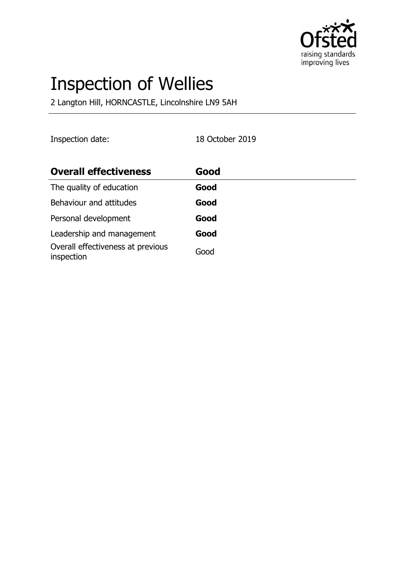

# Inspection of Wellies

2 Langton Hill, HORNCASTLE, Lincolnshire LN9 5AH

Inspection date: 18 October 2019

| <b>Overall effectiveness</b>                    | Good |
|-------------------------------------------------|------|
| The quality of education                        | Good |
| Behaviour and attitudes                         | Good |
| Personal development                            | Good |
| Leadership and management                       | Good |
| Overall effectiveness at previous<br>inspection | Good |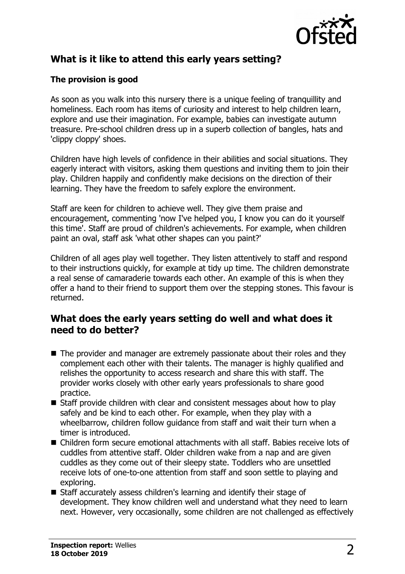

# **What is it like to attend this early years setting?**

#### **The provision is good**

As soon as you walk into this nursery there is a unique feeling of tranquillity and homeliness. Each room has items of curiosity and interest to help children learn, explore and use their imagination. For example, babies can investigate autumn treasure. Pre-school children dress up in a superb collection of bangles, hats and 'clippy cloppy' shoes.

Children have high levels of confidence in their abilities and social situations. They eagerly interact with visitors, asking them questions and inviting them to join their play. Children happily and confidently make decisions on the direction of their learning. They have the freedom to safely explore the environment.

Staff are keen for children to achieve well. They give them praise and encouragement, commenting 'now I've helped you, I know you can do it yourself this time'. Staff are proud of children's achievements. For example, when children paint an oval, staff ask 'what other shapes can you paint?'

Children of all ages play well together. They listen attentively to staff and respond to their instructions quickly, for example at tidy up time. The children demonstrate a real sense of camaraderie towards each other. An example of this is when they offer a hand to their friend to support them over the stepping stones. This favour is returned.

#### **What does the early years setting do well and what does it need to do better?**

- $\blacksquare$  The provider and manager are extremely passionate about their roles and they complement each other with their talents. The manager is highly qualified and relishes the opportunity to access research and share this with staff. The provider works closely with other early years professionals to share good practice.
- $\blacksquare$  Staff provide children with clear and consistent messages about how to play safely and be kind to each other. For example, when they play with a wheelbarrow, children follow guidance from staff and wait their turn when a timer is introduced.
- $\blacksquare$  Children form secure emotional attachments with all staff. Babies receive lots of cuddles from attentive staff. Older children wake from a nap and are given cuddles as they come out of their sleepy state. Toddlers who are unsettled receive lots of one-to-one attention from staff and soon settle to playing and exploring.
- Staff accurately assess children's learning and identify their stage of development. They know children well and understand what they need to learn next. However, very occasionally, some children are not challenged as effectively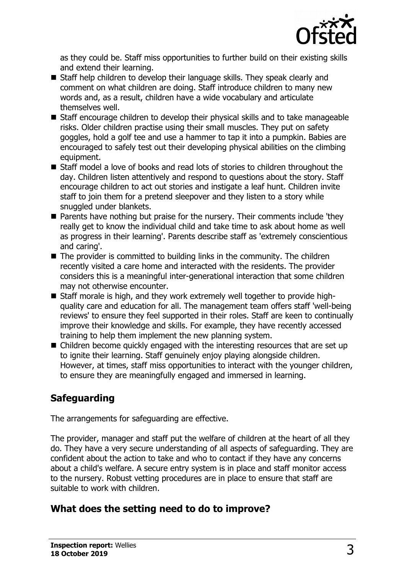

as they could be. Staff miss opportunities to further build on their existing skills and extend their learning.

- $\blacksquare$  Staff help children to develop their language skills. They speak clearly and comment on what children are doing. Staff introduce children to many new words and, as a result, children have a wide vocabulary and articulate themselves well.
- Staff encourage children to develop their physical skills and to take manageable risks. Older children practise using their small muscles. They put on safety goggles, hold a golf tee and use a hammer to tap it into a pumpkin. Babies are encouraged to safely test out their developing physical abilities on the climbing equipment.
- $\blacksquare$  Staff model a love of books and read lots of stories to children throughout the day. Children listen attentively and respond to questions about the story. Staff encourage children to act out stories and instigate a leaf hunt. Children invite staff to join them for a pretend sleepover and they listen to a story while snuggled under blankets.
- $\blacksquare$  Parents have nothing but praise for the nursery. Their comments include 'they really get to know the individual child and take time to ask about home as well as progress in their learning'. Parents describe staff as 'extremely conscientious and caring'.
- $\blacksquare$  The provider is committed to building links in the community. The children recently visited a care home and interacted with the residents. The provider considers this is a meaningful inter-generational interaction that some children may not otherwise encounter.
- Staff morale is high, and they work extremely well together to provide highquality care and education for all. The management team offers staff 'well-being reviews' to ensure they feel supported in their roles. Staff are keen to continually improve their knowledge and skills. For example, they have recently accessed training to help them implement the new planning system.
- $\blacksquare$  Children become quickly engaged with the interesting resources that are set up to ignite their learning. Staff genuinely enjoy playing alongside children. However, at times, staff miss opportunities to interact with the younger children, to ensure they are meaningfully engaged and immersed in learning.

# **Safeguarding**

The arrangements for safeguarding are effective.

The provider, manager and staff put the welfare of children at the heart of all they do. They have a very secure understanding of all aspects of safeguarding. They are confident about the action to take and who to contact if they have any concerns about a child's welfare. A secure entry system is in place and staff monitor access to the nursery. Robust vetting procedures are in place to ensure that staff are suitable to work with children.

# **What does the setting need to do to improve?**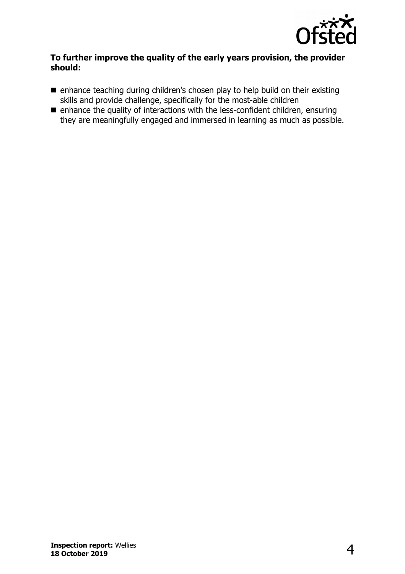

#### **To further improve the quality of the early years provision, the provider should:**

- $\blacksquare$  enhance teaching during children's chosen play to help build on their existing skills and provide challenge, specifically for the most-able children
- $\blacksquare$  enhance the quality of interactions with the less-confident children, ensuring they are meaningfully engaged and immersed in learning as much as possible.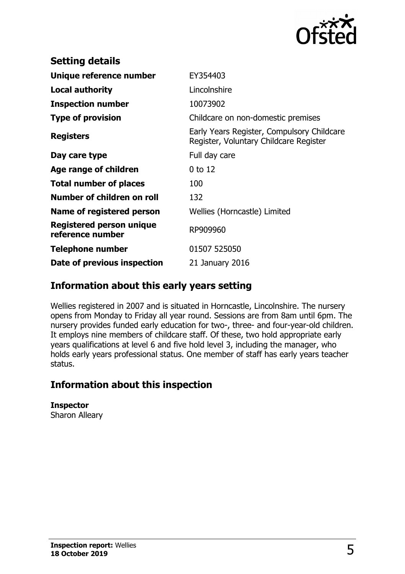

| <b>Setting details</b>                              |                                                                                      |
|-----------------------------------------------------|--------------------------------------------------------------------------------------|
| Unique reference number                             | EY354403                                                                             |
| <b>Local authority</b>                              | Lincolnshire                                                                         |
| <b>Inspection number</b>                            | 10073902                                                                             |
| <b>Type of provision</b>                            | Childcare on non-domestic premises                                                   |
| <b>Registers</b>                                    | Early Years Register, Compulsory Childcare<br>Register, Voluntary Childcare Register |
| Day care type                                       | Full day care                                                                        |
| Age range of children                               | $0$ to 12                                                                            |
| <b>Total number of places</b>                       | 100                                                                                  |
| Number of children on roll                          | 132                                                                                  |
| Name of registered person                           | Wellies (Horncastle) Limited                                                         |
| <b>Registered person unique</b><br>reference number | RP909960                                                                             |
| <b>Telephone number</b>                             | 01507 525050                                                                         |
| Date of previous inspection                         | 21 January 2016                                                                      |

## **Information about this early years setting**

Wellies registered in 2007 and is situated in Horncastle, Lincolnshire. The nursery opens from Monday to Friday all year round. Sessions are from 8am until 6pm. The nursery provides funded early education for two-, three- and four-year-old children. It employs nine members of childcare staff. Of these, two hold appropriate early years qualifications at level 6 and five hold level 3, including the manager, who holds early years professional status. One member of staff has early years teacher status.

### **Information about this inspection**

**Inspector** Sharon Alleary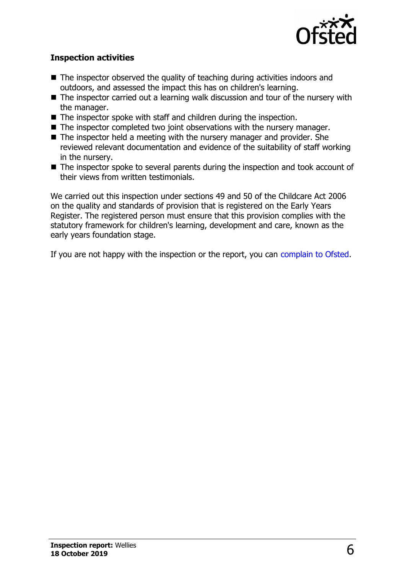

#### **Inspection activities**

- $\blacksquare$  The inspector observed the quality of teaching during activities indoors and outdoors, and assessed the impact this has on children's learning.
- $\blacksquare$  The inspector carried out a learning walk discussion and tour of the nursery with the manager.
- $\blacksquare$  The inspector spoke with staff and children during the inspection.
- $\blacksquare$  The inspector completed two joint observations with the nursery manager.
- $\blacksquare$  The inspector held a meeting with the nursery manager and provider. She reviewed relevant documentation and evidence of the suitability of staff working in the nursery.
- $\blacksquare$  The inspector spoke to several parents during the inspection and took account of their views from written testimonials.

We carried out this inspection under sections 49 and 50 of the Childcare Act 2006 on the quality and standards of provision that is registered on the Early Years Register. The registered person must ensure that this provision complies with the statutory framework for children's learning, development and care, known as the early years foundation stage.

If you are not happy with the inspection or the report, you can [complain to Ofsted.](http://www.gov.uk/complain-ofsted-report)